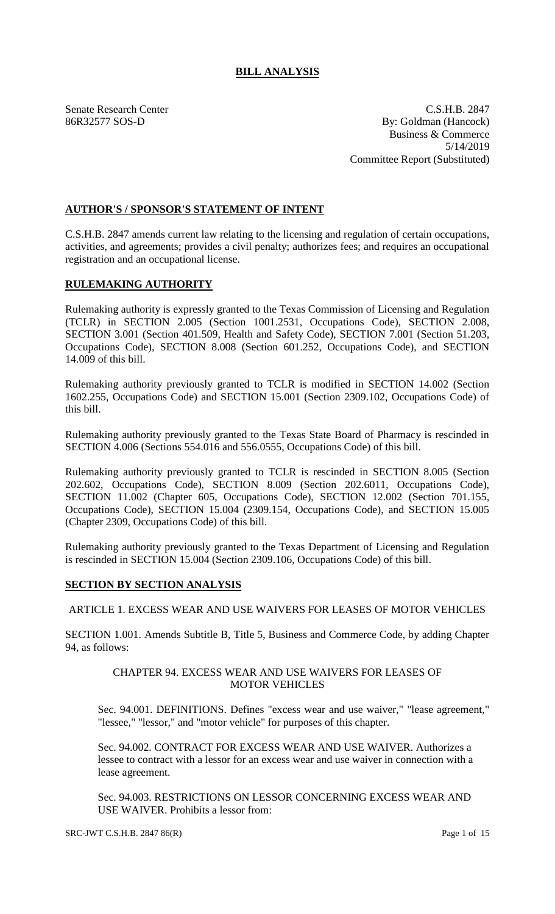# **BILL ANALYSIS**

Senate Research Center C.S.H.B. 2847 86R32577 SOS-D By: Goldman (Hancock) Business & Commerce 5/14/2019 Committee Report (Substituted)

# **AUTHOR'S / SPONSOR'S STATEMENT OF INTENT**

C.S.H.B. 2847 amends current law relating to the licensing and regulation of certain occupations, activities, and agreements; provides a civil penalty; authorizes fees; and requires an occupational registration and an occupational license.

## **RULEMAKING AUTHORITY**

Rulemaking authority is expressly granted to the Texas Commission of Licensing and Regulation (TCLR) in SECTION 2.005 (Section 1001.2531, Occupations Code), SECTION 2.008, SECTION 3.001 (Section 401.509, Health and Safety Code), SECTION 7.001 (Section 51.203, Occupations Code), SECTION 8.008 (Section 601.252, Occupations Code), and SECTION 14.009 of this bill.

Rulemaking authority previously granted to TCLR is modified in SECTION 14.002 (Section 1602.255, Occupations Code) and SECTION 15.001 (Section 2309.102, Occupations Code) of this bill.

Rulemaking authority previously granted to the Texas State Board of Pharmacy is rescinded in SECTION 4.006 (Sections 554.016 and 556.0555, Occupations Code) of this bill.

Rulemaking authority previously granted to TCLR is rescinded in SECTION 8.005 (Section 202.602, Occupations Code), SECTION 8.009 (Section 202.6011, Occupations Code), SECTION 11.002 (Chapter 605, Occupations Code), SECTION 12.002 (Section 701.155, Occupations Code), SECTION 15.004 (2309.154, Occupations Code), and SECTION 15.005 (Chapter 2309, Occupations Code) of this bill.

Rulemaking authority previously granted to the Texas Department of Licensing and Regulation is rescinded in SECTION 15.004 (Section 2309.106, Occupations Code) of this bill.

## **SECTION BY SECTION ANALYSIS**

ARTICLE 1. EXCESS WEAR AND USE WAIVERS FOR LEASES OF MOTOR VEHICLES

SECTION 1.001. Amends Subtitle B, Title 5, Business and Commerce Code, by adding Chapter 94, as follows:

#### CHAPTER 94. EXCESS WEAR AND USE WAIVERS FOR LEASES OF MOTOR VEHICLES

Sec. 94.001. DEFINITIONS. Defines "excess wear and use waiver," "lease agreement," "lessee," "lessor," and "motor vehicle" for purposes of this chapter.

Sec. 94.002. CONTRACT FOR EXCESS WEAR AND USE WAIVER. Authorizes a lessee to contract with a lessor for an excess wear and use waiver in connection with a lease agreement.

Sec. 94.003. RESTRICTIONS ON LESSOR CONCERNING EXCESS WEAR AND USE WAIVER. Prohibits a lessor from: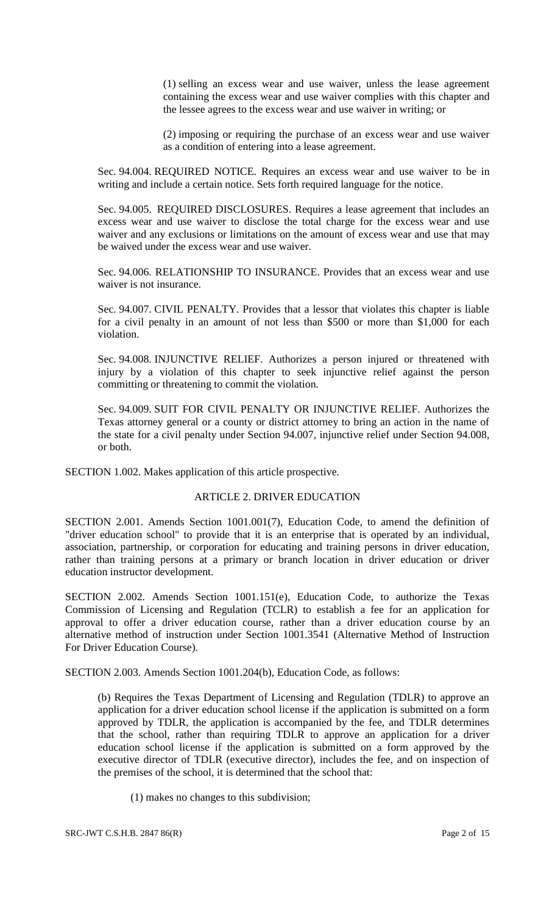(1) selling an excess wear and use waiver, unless the lease agreement containing the excess wear and use waiver complies with this chapter and the lessee agrees to the excess wear and use waiver in writing; or

(2) imposing or requiring the purchase of an excess wear and use waiver as a condition of entering into a lease agreement.

Sec. 94.004. REQUIRED NOTICE. Requires an excess wear and use waiver to be in writing and include a certain notice. Sets forth required language for the notice.

Sec. 94.005. REQUIRED DISCLOSURES. Requires a lease agreement that includes an excess wear and use waiver to disclose the total charge for the excess wear and use waiver and any exclusions or limitations on the amount of excess wear and use that may be waived under the excess wear and use waiver.

Sec. 94.006. RELATIONSHIP TO INSURANCE. Provides that an excess wear and use waiver is not insurance.

Sec. 94.007. CIVIL PENALTY. Provides that a lessor that violates this chapter is liable for a civil penalty in an amount of not less than \$500 or more than \$1,000 for each violation.

Sec. 94.008. INJUNCTIVE RELIEF. Authorizes a person injured or threatened with injury by a violation of this chapter to seek injunctive relief against the person committing or threatening to commit the violation.

Sec. 94.009. SUIT FOR CIVIL PENALTY OR INJUNCTIVE RELIEF. Authorizes the Texas attorney general or a county or district attorney to bring an action in the name of the state for a civil penalty under Section 94.007, injunctive relief under Section 94.008, or both.

SECTION 1.002. Makes application of this article prospective.

## ARTICLE 2. DRIVER EDUCATION

SECTION 2.001. Amends Section 1001.001(7), Education Code, to amend the definition of "driver education school" to provide that it is an enterprise that is operated by an individual, association, partnership, or corporation for educating and training persons in driver education, rather than training persons at a primary or branch location in driver education or driver education instructor development.

SECTION 2.002. Amends Section 1001.151(e), Education Code, to authorize the Texas Commission of Licensing and Regulation (TCLR) to establish a fee for an application for approval to offer a driver education course, rather than a driver education course by an alternative method of instruction under Section 1001.3541 (Alternative Method of Instruction For Driver Education Course).

SECTION 2.003. Amends Section 1001.204(b), Education Code, as follows:

(b) Requires the Texas Department of Licensing and Regulation (TDLR) to approve an application for a driver education school license if the application is submitted on a form approved by TDLR, the application is accompanied by the fee, and TDLR determines that the school, rather than requiring TDLR to approve an application for a driver education school license if the application is submitted on a form approved by the executive director of TDLR (executive director), includes the fee, and on inspection of the premises of the school, it is determined that the school that:

(1) makes no changes to this subdivision;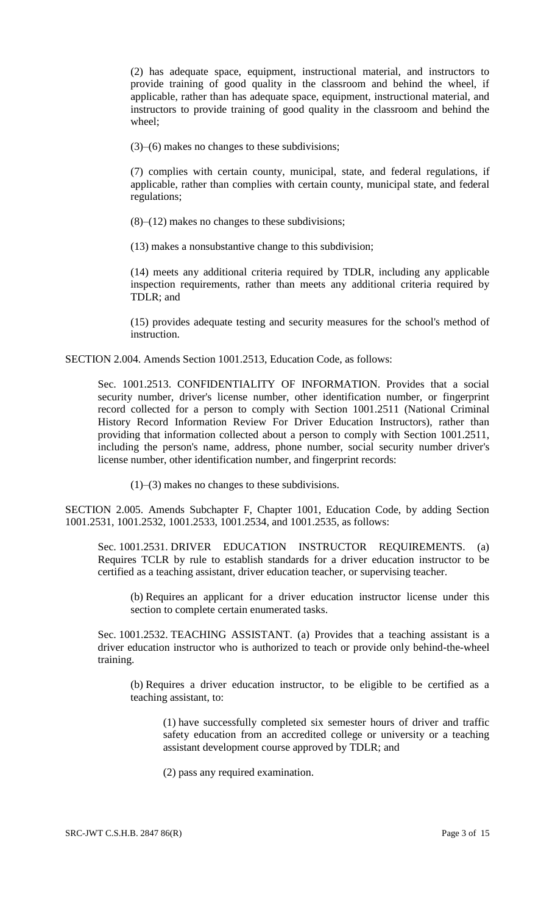(2) has adequate space, equipment, instructional material, and instructors to provide training of good quality in the classroom and behind the wheel, if applicable, rather than has adequate space, equipment, instructional material, and instructors to provide training of good quality in the classroom and behind the wheel;

(3)–(6) makes no changes to these subdivisions;

(7) complies with certain county, municipal, state, and federal regulations, if applicable, rather than complies with certain county, municipal state, and federal regulations;

(8)–(12) makes no changes to these subdivisions;

(13) makes a nonsubstantive change to this subdivision;

(14) meets any additional criteria required by TDLR, including any applicable inspection requirements, rather than meets any additional criteria required by TDLR; and

(15) provides adequate testing and security measures for the school's method of instruction.

SECTION 2.004. Amends Section 1001.2513, Education Code, as follows:

Sec. 1001.2513. CONFIDENTIALITY OF INFORMATION. Provides that a social security number, driver's license number, other identification number, or fingerprint record collected for a person to comply with Section 1001.2511 (National Criminal History Record Information Review For Driver Education Instructors), rather than providing that information collected about a person to comply with Section 1001.2511, including the person's name, address, phone number, social security number driver's license number, other identification number, and fingerprint records:

(1)–(3) makes no changes to these subdivisions.

SECTION 2.005. Amends Subchapter F, Chapter 1001, Education Code, by adding Section 1001.2531, 1001.2532, 1001.2533, 1001.2534, and 1001.2535, as follows:

Sec. 1001.2531. DRIVER EDUCATION INSTRUCTOR REQUIREMENTS. (a) Requires TCLR by rule to establish standards for a driver education instructor to be certified as a teaching assistant, driver education teacher, or supervising teacher.

(b) Requires an applicant for a driver education instructor license under this section to complete certain enumerated tasks.

Sec. 1001.2532. TEACHING ASSISTANT. (a) Provides that a teaching assistant is a driver education instructor who is authorized to teach or provide only behind-the-wheel training.

(b) Requires a driver education instructor, to be eligible to be certified as a teaching assistant, to:

(1) have successfully completed six semester hours of driver and traffic safety education from an accredited college or university or a teaching assistant development course approved by TDLR; and

(2) pass any required examination.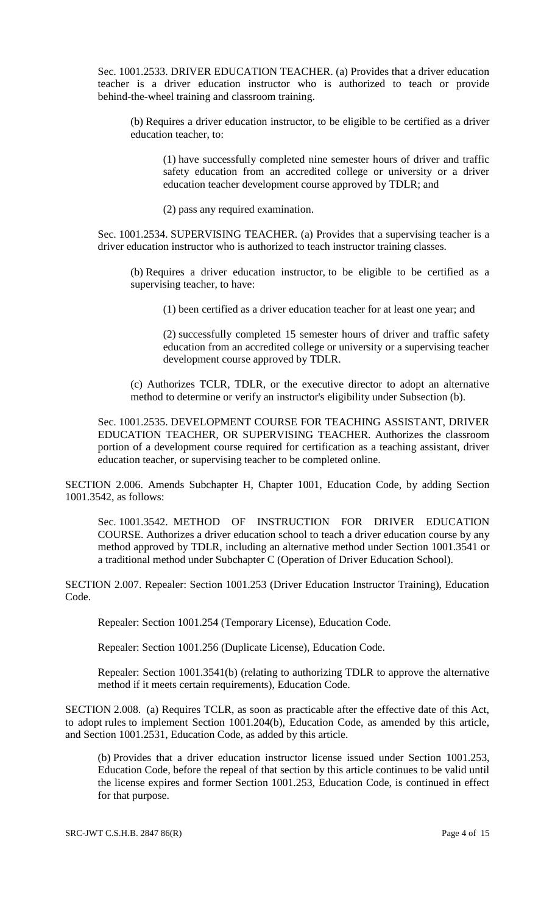Sec. 1001.2533. DRIVER EDUCATION TEACHER. (a) Provides that a driver education teacher is a driver education instructor who is authorized to teach or provide behind-the-wheel training and classroom training.

(b) Requires a driver education instructor, to be eligible to be certified as a driver education teacher, to:

(1) have successfully completed nine semester hours of driver and traffic safety education from an accredited college or university or a driver education teacher development course approved by TDLR; and

(2) pass any required examination.

Sec. 1001.2534. SUPERVISING TEACHER. (a) Provides that a supervising teacher is a driver education instructor who is authorized to teach instructor training classes.

(b) Requires a driver education instructor, to be eligible to be certified as a supervising teacher, to have:

(1) been certified as a driver education teacher for at least one year; and

(2) successfully completed 15 semester hours of driver and traffic safety education from an accredited college or university or a supervising teacher development course approved by TDLR.

(c) Authorizes TCLR, TDLR, or the executive director to adopt an alternative method to determine or verify an instructor's eligibility under Subsection (b).

Sec. 1001.2535. DEVELOPMENT COURSE FOR TEACHING ASSISTANT, DRIVER EDUCATION TEACHER, OR SUPERVISING TEACHER. Authorizes the classroom portion of a development course required for certification as a teaching assistant, driver education teacher, or supervising teacher to be completed online.

SECTION 2.006. Amends Subchapter H, Chapter 1001, Education Code, by adding Section 1001.3542, as follows:

Sec. 1001.3542. METHOD OF INSTRUCTION FOR DRIVER EDUCATION COURSE. Authorizes a driver education school to teach a driver education course by any method approved by TDLR, including an alternative method under Section 1001.3541 or a traditional method under Subchapter C (Operation of Driver Education School).

SECTION 2.007. Repealer: Section 1001.253 (Driver Education Instructor Training), Education Code.

Repealer: Section 1001.254 (Temporary License), Education Code.

Repealer: Section 1001.256 (Duplicate License), Education Code.

Repealer: Section 1001.3541(b) (relating to authorizing TDLR to approve the alternative method if it meets certain requirements), Education Code.

SECTION 2.008. (a) Requires TCLR, as soon as practicable after the effective date of this Act, to adopt rules to implement Section 1001.204(b), Education Code, as amended by this article, and Section 1001.2531, Education Code, as added by this article.

(b) Provides that a driver education instructor license issued under Section 1001.253, Education Code, before the repeal of that section by this article continues to be valid until the license expires and former Section 1001.253, Education Code, is continued in effect for that purpose.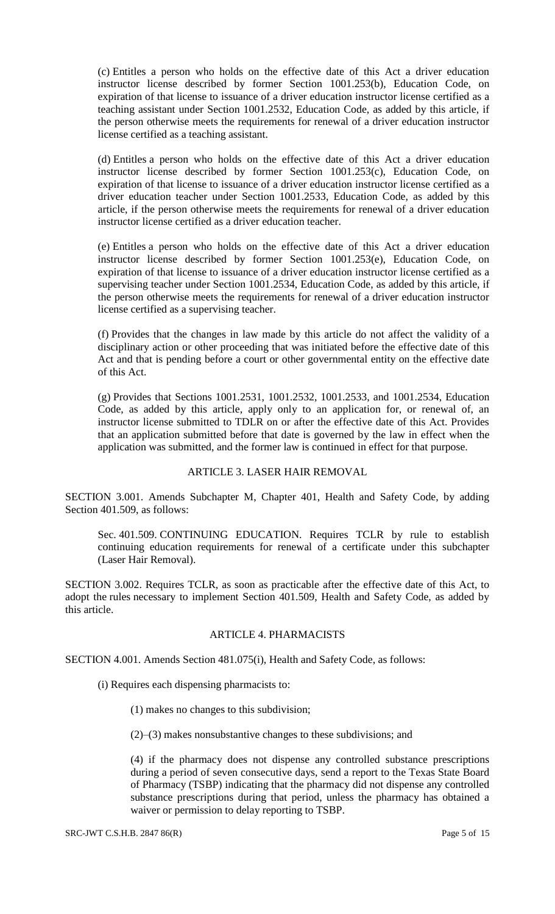(c) Entitles a person who holds on the effective date of this Act a driver education instructor license described by former Section 1001.253(b), Education Code, on expiration of that license to issuance of a driver education instructor license certified as a teaching assistant under Section 1001.2532, Education Code, as added by this article, if the person otherwise meets the requirements for renewal of a driver education instructor license certified as a teaching assistant.

(d) Entitles a person who holds on the effective date of this Act a driver education instructor license described by former Section 1001.253(c), Education Code, on expiration of that license to issuance of a driver education instructor license certified as a driver education teacher under Section 1001.2533, Education Code, as added by this article, if the person otherwise meets the requirements for renewal of a driver education instructor license certified as a driver education teacher.

(e) Entitles a person who holds on the effective date of this Act a driver education instructor license described by former Section 1001.253(e), Education Code, on expiration of that license to issuance of a driver education instructor license certified as a supervising teacher under Section 1001.2534, Education Code, as added by this article, if the person otherwise meets the requirements for renewal of a driver education instructor license certified as a supervising teacher.

(f) Provides that the changes in law made by this article do not affect the validity of a disciplinary action or other proceeding that was initiated before the effective date of this Act and that is pending before a court or other governmental entity on the effective date of this Act.

(g) Provides that Sections 1001.2531, 1001.2532, 1001.2533, and 1001.2534, Education Code, as added by this article, apply only to an application for, or renewal of, an instructor license submitted to TDLR on or after the effective date of this Act. Provides that an application submitted before that date is governed by the law in effect when the application was submitted, and the former law is continued in effect for that purpose.

## ARTICLE 3. LASER HAIR REMOVAL

SECTION 3.001. Amends Subchapter M, Chapter 401, Health and Safety Code, by adding Section 401.509, as follows:

Sec. 401.509. CONTINUING EDUCATION. Requires TCLR by rule to establish continuing education requirements for renewal of a certificate under this subchapter (Laser Hair Removal).

SECTION 3.002. Requires TCLR, as soon as practicable after the effective date of this Act, to adopt the rules necessary to implement Section 401.509, Health and Safety Code, as added by this article.

## ARTICLE 4. PHARMACISTS

SECTION 4.001. Amends Section 481.075(i), Health and Safety Code, as follows:

(i) Requires each dispensing pharmacists to:

(1) makes no changes to this subdivision;

(2)–(3) makes nonsubstantive changes to these subdivisions; and

(4) if the pharmacy does not dispense any controlled substance prescriptions during a period of seven consecutive days, send a report to the Texas State Board of Pharmacy (TSBP) indicating that the pharmacy did not dispense any controlled substance prescriptions during that period, unless the pharmacy has obtained a waiver or permission to delay reporting to TSBP.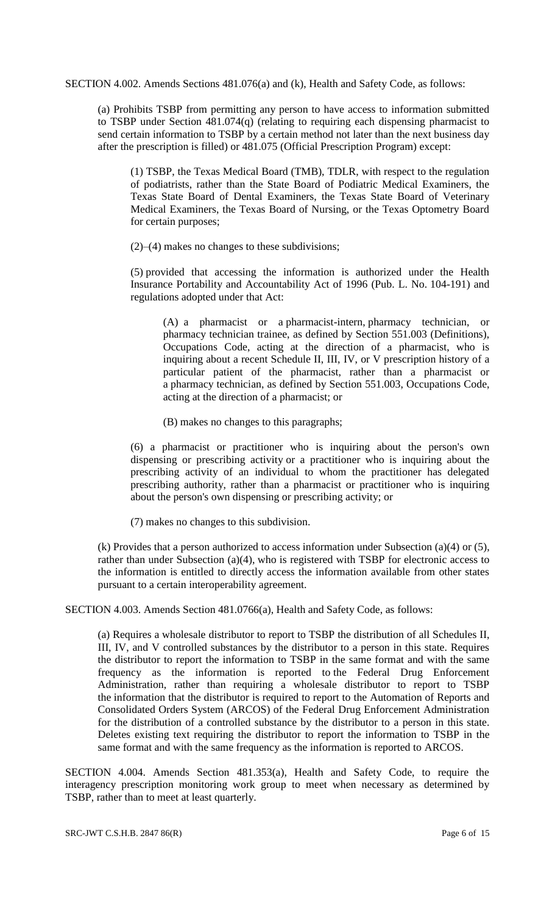SECTION 4.002. Amends Sections 481.076(a) and (k), Health and Safety Code, as follows:

(a) Prohibits TSBP from permitting any person to have access to information submitted to TSBP under Section 481.074(q) (relating to requiring each dispensing pharmacist to send certain information to TSBP by a certain method not later than the next business day after the prescription is filled) or 481.075 (Official Prescription Program) except:

(1) TSBP, the Texas Medical Board (TMB), TDLR, with respect to the regulation of podiatrists, rather than the State Board of Podiatric Medical Examiners, the Texas State Board of Dental Examiners, the Texas State Board of Veterinary Medical Examiners, the Texas Board of Nursing, or the Texas Optometry Board for certain purposes;

(2)–(4) makes no changes to these subdivisions;

(5) provided that accessing the information is authorized under the Health Insurance Portability and Accountability Act of 1996 (Pub. L. No. 104-191) and regulations adopted under that Act:

(A) a pharmacist or a pharmacist-intern, pharmacy technician, or pharmacy technician trainee, as defined by Section 551.003 (Definitions), Occupations Code, acting at the direction of a pharmacist, who is inquiring about a recent Schedule II, III, IV, or V prescription history of a particular patient of the pharmacist, rather than a pharmacist or a pharmacy technician, as defined by Section 551.003, Occupations Code, acting at the direction of a pharmacist; or

(B) makes no changes to this paragraphs;

(6) a pharmacist or practitioner who is inquiring about the person's own dispensing or prescribing activity or a practitioner who is inquiring about the prescribing activity of an individual to whom the practitioner has delegated prescribing authority, rather than a pharmacist or practitioner who is inquiring about the person's own dispensing or prescribing activity; or

(7) makes no changes to this subdivision.

(k) Provides that a person authorized to access information under Subsection (a)(4) or (5), rather than under Subsection (a)(4), who is registered with TSBP for electronic access to the information is entitled to directly access the information available from other states pursuant to a certain interoperability agreement.

SECTION 4.003. Amends Section 481.0766(a), Health and Safety Code, as follows:

(a) Requires a wholesale distributor to report to TSBP the distribution of all Schedules II, III, IV, and V controlled substances by the distributor to a person in this state. Requires the distributor to report the information to TSBP in the same format and with the same frequency as the information is reported to the Federal Drug Enforcement Administration, rather than requiring a wholesale distributor to report to TSBP the information that the distributor is required to report to the Automation of Reports and Consolidated Orders System (ARCOS) of the Federal Drug Enforcement Administration for the distribution of a controlled substance by the distributor to a person in this state. Deletes existing text requiring the distributor to report the information to TSBP in the same format and with the same frequency as the information is reported to ARCOS.

SECTION 4.004. Amends Section 481.353(a), Health and Safety Code, to require the interagency prescription monitoring work group to meet when necessary as determined by TSBP, rather than to meet at least quarterly.

SRC-JWT C.S.H.B. 2847 86(R) Page 6 of 15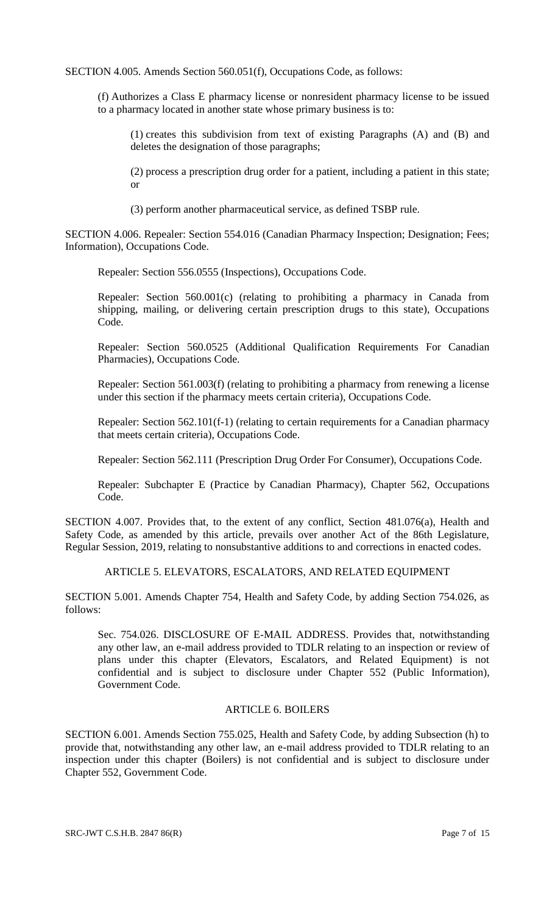SECTION 4.005. Amends Section 560.051(f), Occupations Code, as follows:

(f) Authorizes a Class E pharmacy license or nonresident pharmacy license to be issued to a pharmacy located in another state whose primary business is to:

(1) creates this subdivision from text of existing Paragraphs (A) and (B) and deletes the designation of those paragraphs;

(2) process a prescription drug order for a patient, including a patient in this state; or

(3) perform another pharmaceutical service, as defined TSBP rule.

SECTION 4.006. Repealer: Section 554.016 (Canadian Pharmacy Inspection; Designation; Fees; Information), Occupations Code.

Repealer: Section 556.0555 (Inspections), Occupations Code.

Repealer: Section 560.001(c) (relating to prohibiting a pharmacy in Canada from shipping, mailing, or delivering certain prescription drugs to this state), Occupations Code.

Repealer: Section 560.0525 (Additional Qualification Requirements For Canadian Pharmacies), Occupations Code.

Repealer: Section 561.003(f) (relating to prohibiting a pharmacy from renewing a license under this section if the pharmacy meets certain criteria), Occupations Code.

Repealer: Section 562.101(f-1) (relating to certain requirements for a Canadian pharmacy that meets certain criteria), Occupations Code.

Repealer: Section 562.111 (Prescription Drug Order For Consumer), Occupations Code.

Repealer: Subchapter E (Practice by Canadian Pharmacy), Chapter 562, Occupations Code.

SECTION 4.007. Provides that, to the extent of any conflict, Section 481.076(a), Health and Safety Code, as amended by this article, prevails over another Act of the 86th Legislature, Regular Session, 2019, relating to nonsubstantive additions to and corrections in enacted codes.

ARTICLE 5. ELEVATORS, ESCALATORS, AND RELATED EQUIPMENT

SECTION 5.001. Amends Chapter 754, Health and Safety Code, by adding Section 754.026, as follows:

Sec. 754.026. DISCLOSURE OF E-MAIL ADDRESS. Provides that, notwithstanding any other law, an e-mail address provided to TDLR relating to an inspection or review of plans under this chapter (Elevators, Escalators, and Related Equipment) is not confidential and is subject to disclosure under Chapter 552 (Public Information), Government Code.

# ARTICLE 6. BOILERS

SECTION 6.001. Amends Section 755.025, Health and Safety Code, by adding Subsection (h) to provide that, notwithstanding any other law, an e-mail address provided to TDLR relating to an inspection under this chapter (Boilers) is not confidential and is subject to disclosure under Chapter 552, Government Code.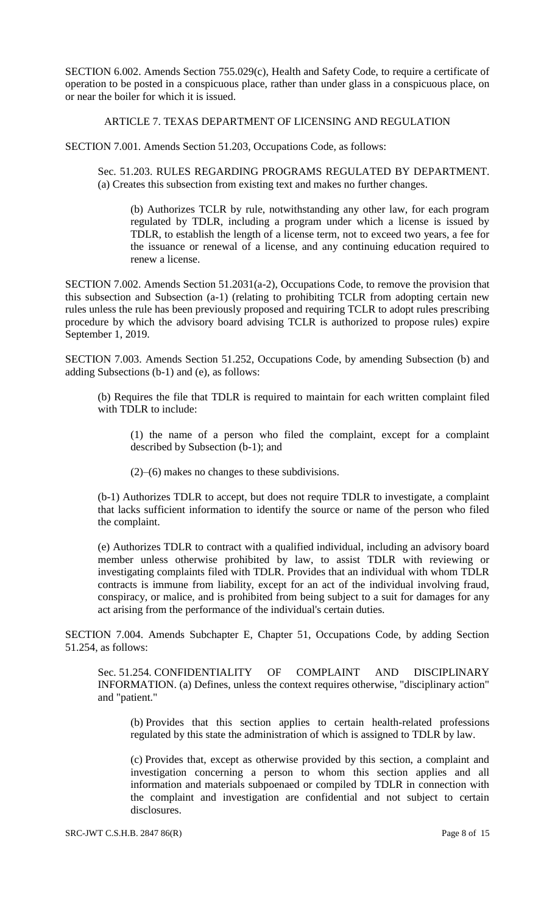SECTION 6.002. Amends Section 755.029(c), Health and Safety Code, to require a certificate of operation to be posted in a conspicuous place, rather than under glass in a conspicuous place, on or near the boiler for which it is issued.

ARTICLE 7. TEXAS DEPARTMENT OF LICENSING AND REGULATION

SECTION 7.001. Amends Section 51.203, Occupations Code, as follows:

Sec. 51.203. RULES REGARDING PROGRAMS REGULATED BY DEPARTMENT. (a) Creates this subsection from existing text and makes no further changes.

(b) Authorizes TCLR by rule, notwithstanding any other law, for each program regulated by TDLR, including a program under which a license is issued by TDLR, to establish the length of a license term, not to exceed two years, a fee for the issuance or renewal of a license, and any continuing education required to renew a license.

SECTION 7.002. Amends Section 51.2031(a-2), Occupations Code, to remove the provision that this subsection and Subsection (a-1) (relating to prohibiting TCLR from adopting certain new rules unless the rule has been previously proposed and requiring TCLR to adopt rules prescribing procedure by which the advisory board advising TCLR is authorized to propose rules) expire September 1, 2019.

SECTION 7.003. Amends Section 51.252, Occupations Code, by amending Subsection (b) and adding Subsections (b-1) and (e), as follows:

(b) Requires the file that TDLR is required to maintain for each written complaint filed with TDLR to include:

(1) the name of a person who filed the complaint, except for a complaint described by Subsection (b-1); and

(2)–(6) makes no changes to these subdivisions.

(b-1) Authorizes TDLR to accept, but does not require TDLR to investigate, a complaint that lacks sufficient information to identify the source or name of the person who filed the complaint.

(e) Authorizes TDLR to contract with a qualified individual, including an advisory board member unless otherwise prohibited by law, to assist TDLR with reviewing or investigating complaints filed with TDLR. Provides that an individual with whom TDLR contracts is immune from liability, except for an act of the individual involving fraud, conspiracy, or malice, and is prohibited from being subject to a suit for damages for any act arising from the performance of the individual's certain duties.

SECTION 7.004. Amends Subchapter E, Chapter 51, Occupations Code, by adding Section 51.254, as follows:

Sec. 51.254. CONFIDENTIALITY OF COMPLAINT AND DISCIPLINARY INFORMATION. (a) Defines, unless the context requires otherwise, "disciplinary action" and "patient."

(b) Provides that this section applies to certain health-related professions regulated by this state the administration of which is assigned to TDLR by law.

(c) Provides that, except as otherwise provided by this section, a complaint and investigation concerning a person to whom this section applies and all information and materials subpoenaed or compiled by TDLR in connection with the complaint and investigation are confidential and not subject to certain disclosures.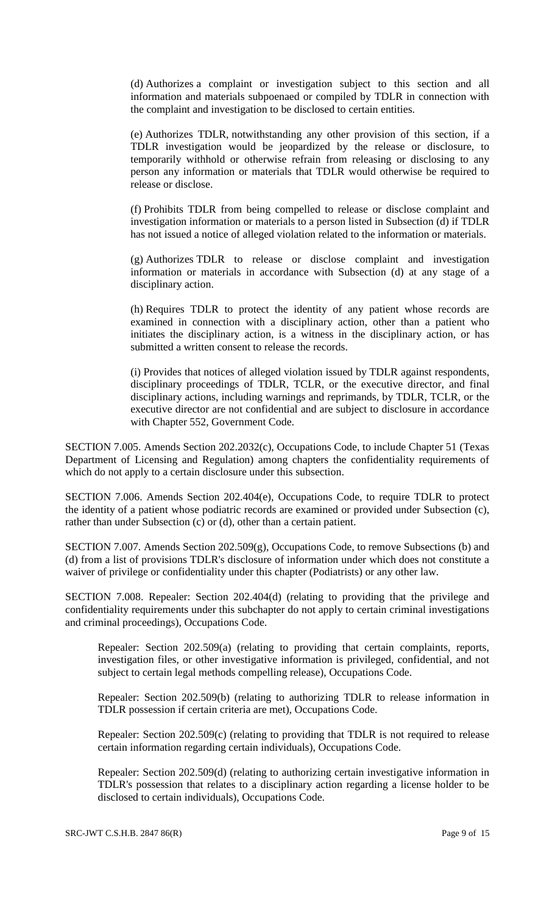(d) Authorizes a complaint or investigation subject to this section and all information and materials subpoenaed or compiled by TDLR in connection with the complaint and investigation to be disclosed to certain entities.

(e) Authorizes TDLR, notwithstanding any other provision of this section, if a TDLR investigation would be jeopardized by the release or disclosure, to temporarily withhold or otherwise refrain from releasing or disclosing to any person any information or materials that TDLR would otherwise be required to release or disclose.

(f) Prohibits TDLR from being compelled to release or disclose complaint and investigation information or materials to a person listed in Subsection (d) if TDLR has not issued a notice of alleged violation related to the information or materials.

(g) Authorizes TDLR to release or disclose complaint and investigation information or materials in accordance with Subsection (d) at any stage of a disciplinary action.

(h) Requires TDLR to protect the identity of any patient whose records are examined in connection with a disciplinary action, other than a patient who initiates the disciplinary action, is a witness in the disciplinary action, or has submitted a written consent to release the records.

(i) Provides that notices of alleged violation issued by TDLR against respondents, disciplinary proceedings of TDLR, TCLR, or the executive director, and final disciplinary actions, including warnings and reprimands, by TDLR, TCLR, or the executive director are not confidential and are subject to disclosure in accordance with Chapter 552, Government Code.

SECTION 7.005. Amends Section 202.2032(c), Occupations Code, to include Chapter 51 (Texas Department of Licensing and Regulation) among chapters the confidentiality requirements of which do not apply to a certain disclosure under this subsection.

SECTION 7.006. Amends Section 202.404(e), Occupations Code, to require TDLR to protect the identity of a patient whose podiatric records are examined or provided under Subsection (c), rather than under Subsection (c) or (d), other than a certain patient.

SECTION 7.007. Amends Section 202.509(g), Occupations Code, to remove Subsections (b) and (d) from a list of provisions TDLR's disclosure of information under which does not constitute a waiver of privilege or confidentiality under this chapter (Podiatrists) or any other law.

SECTION 7.008. Repealer: Section 202.404(d) (relating to providing that the privilege and confidentiality requirements under this subchapter do not apply to certain criminal investigations and criminal proceedings), Occupations Code.

Repealer: Section 202.509(a) (relating to providing that certain complaints, reports, investigation files, or other investigative information is privileged, confidential, and not subject to certain legal methods compelling release), Occupations Code.

Repealer: Section 202.509(b) (relating to authorizing TDLR to release information in TDLR possession if certain criteria are met), Occupations Code.

Repealer: Section 202.509(c) (relating to providing that TDLR is not required to release certain information regarding certain individuals), Occupations Code.

Repealer: Section 202.509(d) (relating to authorizing certain investigative information in TDLR's possession that relates to a disciplinary action regarding a license holder to be disclosed to certain individuals), Occupations Code.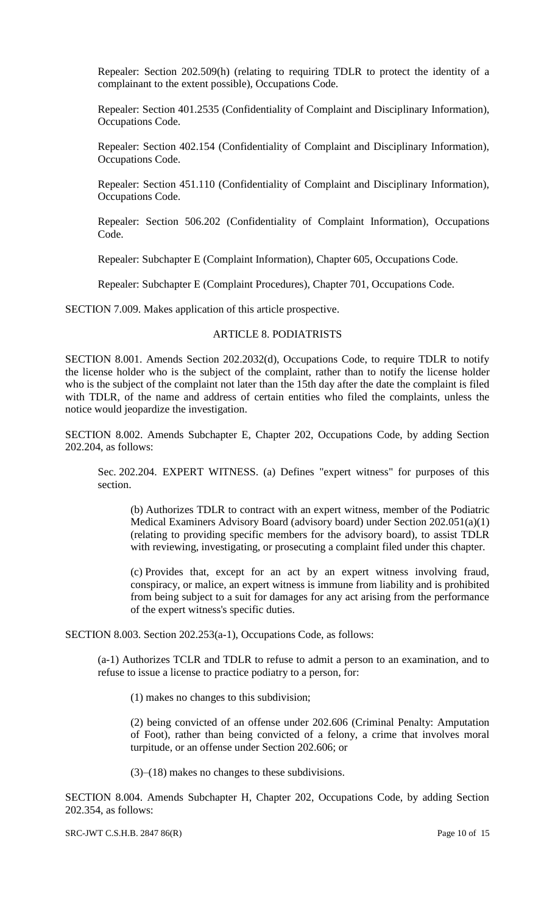Repealer: Section 202.509(h) (relating to requiring TDLR to protect the identity of a complainant to the extent possible), Occupations Code.

Repealer: Section 401.2535 (Confidentiality of Complaint and Disciplinary Information), Occupations Code.

Repealer: Section 402.154 (Confidentiality of Complaint and Disciplinary Information), Occupations Code.

Repealer: Section 451.110 (Confidentiality of Complaint and Disciplinary Information), Occupations Code.

Repealer: Section 506.202 (Confidentiality of Complaint Information), Occupations Code.

Repealer: Subchapter E (Complaint Information), Chapter 605, Occupations Code.

Repealer: Subchapter E (Complaint Procedures), Chapter 701, Occupations Code.

SECTION 7.009. Makes application of this article prospective.

#### ARTICLE 8. PODIATRISTS

SECTION 8.001. Amends Section 202.2032(d), Occupations Code, to require TDLR to notify the license holder who is the subject of the complaint, rather than to notify the license holder who is the subject of the complaint not later than the 15th day after the date the complaint is filed with TDLR, of the name and address of certain entities who filed the complaints, unless the notice would jeopardize the investigation.

SECTION 8.002. Amends Subchapter E, Chapter 202, Occupations Code, by adding Section 202.204, as follows:

Sec. 202.204. EXPERT WITNESS. (a) Defines "expert witness" for purposes of this section.

(b) Authorizes TDLR to contract with an expert witness, member of the Podiatric Medical Examiners Advisory Board (advisory board) under Section 202.051(a)(1) (relating to providing specific members for the advisory board), to assist TDLR with reviewing, investigating, or prosecuting a complaint filed under this chapter.

(c) Provides that, except for an act by an expert witness involving fraud, conspiracy, or malice, an expert witness is immune from liability and is prohibited from being subject to a suit for damages for any act arising from the performance of the expert witness's specific duties.

SECTION 8.003. Section 202.253(a-1), Occupations Code, as follows:

(a-1) Authorizes TCLR and TDLR to refuse to admit a person to an examination, and to refuse to issue a license to practice podiatry to a person, for:

(1) makes no changes to this subdivision;

(2) being convicted of an offense under 202.606 (Criminal Penalty: Amputation of Foot), rather than being convicted of a felony, a crime that involves moral turpitude, or an offense under Section 202.606; or

(3)–(18) makes no changes to these subdivisions.

SECTION 8.004. Amends Subchapter H, Chapter 202, Occupations Code, by adding Section 202.354, as follows:

SRC-JWT C.S.H.B. 2847 86(R) Page 10 of 15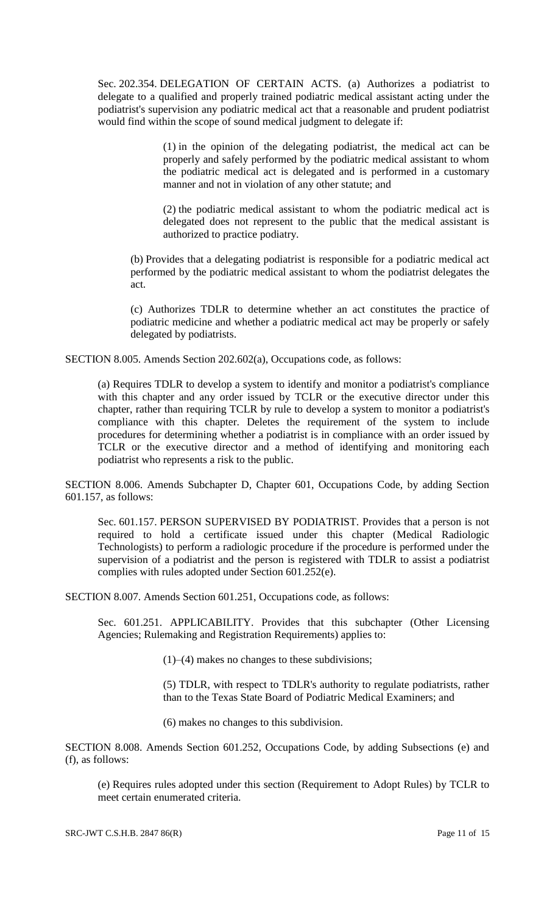Sec. 202.354. DELEGATION OF CERTAIN ACTS. (a) Authorizes a podiatrist to delegate to a qualified and properly trained podiatric medical assistant acting under the podiatrist's supervision any podiatric medical act that a reasonable and prudent podiatrist would find within the scope of sound medical judgment to delegate if:

> (1) in the opinion of the delegating podiatrist, the medical act can be properly and safely performed by the podiatric medical assistant to whom the podiatric medical act is delegated and is performed in a customary manner and not in violation of any other statute; and

> (2) the podiatric medical assistant to whom the podiatric medical act is delegated does not represent to the public that the medical assistant is authorized to practice podiatry.

(b) Provides that a delegating podiatrist is responsible for a podiatric medical act performed by the podiatric medical assistant to whom the podiatrist delegates the act.

(c) Authorizes TDLR to determine whether an act constitutes the practice of podiatric medicine and whether a podiatric medical act may be properly or safely delegated by podiatrists.

SECTION 8.005. Amends Section 202.602(a), Occupations code, as follows:

(a) Requires TDLR to develop a system to identify and monitor a podiatrist's compliance with this chapter and any order issued by TCLR or the executive director under this chapter, rather than requiring TCLR by rule to develop a system to monitor a podiatrist's compliance with this chapter. Deletes the requirement of the system to include procedures for determining whether a podiatrist is in compliance with an order issued by TCLR or the executive director and a method of identifying and monitoring each podiatrist who represents a risk to the public.

SECTION 8.006. Amends Subchapter D, Chapter 601, Occupations Code, by adding Section 601.157, as follows:

Sec. 601.157. PERSON SUPERVISED BY PODIATRIST. Provides that a person is not required to hold a certificate issued under this chapter (Medical Radiologic Technologists) to perform a radiologic procedure if the procedure is performed under the supervision of a podiatrist and the person is registered with TDLR to assist a podiatrist complies with rules adopted under Section 601.252(e).

SECTION 8.007. Amends Section 601.251, Occupations code, as follows:

Sec. 601.251. APPLICABILITY. Provides that this subchapter (Other Licensing Agencies; Rulemaking and Registration Requirements) applies to:

(1)–(4) makes no changes to these subdivisions;

(5) TDLR, with respect to TDLR's authority to regulate podiatrists, rather than to the Texas State Board of Podiatric Medical Examiners; and

(6) makes no changes to this subdivision.

SECTION 8.008. Amends Section 601.252, Occupations Code, by adding Subsections (e) and (f), as follows:

(e) Requires rules adopted under this section (Requirement to Adopt Rules) by TCLR to meet certain enumerated criteria.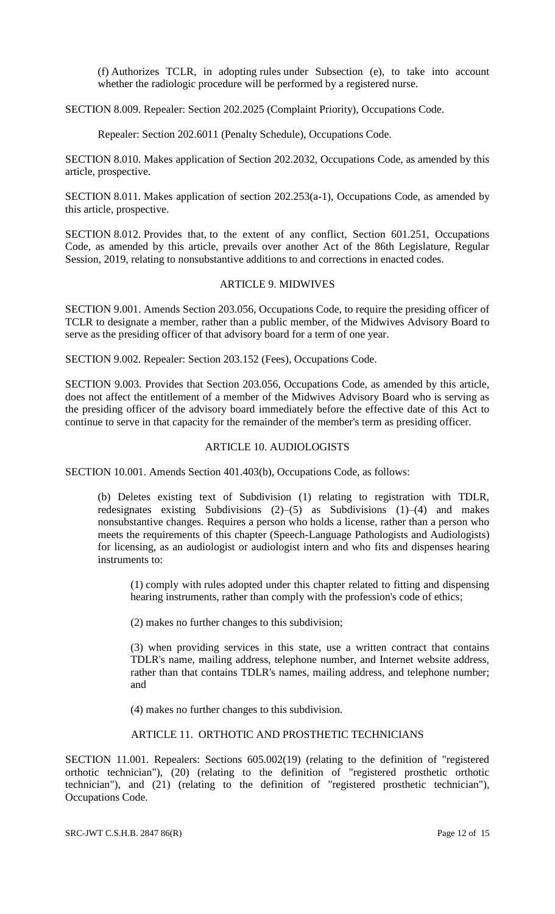(f) Authorizes TCLR, in adopting rules under Subsection (e), to take into account whether the radiologic procedure will be performed by a registered nurse.

SECTION 8.009. Repealer: Section 202.2025 (Complaint Priority), Occupations Code.

Repealer: Section 202.6011 (Penalty Schedule), Occupations Code.

SECTION 8.010. Makes application of Section 202.2032, Occupations Code, as amended by this article, prospective.

SECTION 8.011. Makes application of section 202.253(a-1), Occupations Code, as amended by this article, prospective.

SECTION 8.012. Provides that, to the extent of any conflict, Section 601.251, Occupations Code, as amended by this article, prevails over another Act of the 86th Legislature, Regular Session, 2019, relating to nonsubstantive additions to and corrections in enacted codes.

## ARTICLE 9. MIDWIVES

SECTION 9.001. Amends Section 203.056, Occupations Code, to require the presiding officer of TCLR to designate a member, rather than a public member, of the Midwives Advisory Board to serve as the presiding officer of that advisory board for a term of one year.

SECTION 9.002. Repealer: Section 203.152 (Fees), Occupations Code.

SECTION 9.003. Provides that Section 203.056, Occupations Code, as amended by this article, does not affect the entitlement of a member of the Midwives Advisory Board who is serving as the presiding officer of the advisory board immediately before the effective date of this Act to continue to serve in that capacity for the remainder of the member's term as presiding officer.

#### ARTICLE 10. AUDIOLOGISTS

SECTION 10.001. Amends Section 401.403(b), Occupations Code, as follows:

(b) Deletes existing text of Subdivision (1) relating to registration with TDLR, redesignates existing Subdivisions (2)–(5) as Subdivisions (1)–(4) and makes nonsubstantive changes. Requires a person who holds a license, rather than a person who meets the requirements of this chapter (Speech-Language Pathologists and Audiologists) for licensing, as an audiologist or audiologist intern and who fits and dispenses hearing instruments to:

(1) comply with rules adopted under this chapter related to fitting and dispensing hearing instruments, rather than comply with the profession's code of ethics;

(2) makes no further changes to this subdivision;

(3) when providing services in this state, use a written contract that contains TDLR's name, mailing address, telephone number, and Internet website address, rather than that contains TDLR's names, mailing address, and telephone number; and

(4) makes no further changes to this subdivision.

## ARTICLE 11. ORTHOTIC AND PROSTHETIC TECHNICIANS

SECTION 11.001. Repealers: Sections 605.002(19) (relating to the definition of "registered orthotic technician"), (20) (relating to the definition of "registered prosthetic orthotic technician"), and (21) (relating to the definition of "registered prosthetic technician"), Occupations Code.

SRC-JWT C.S.H.B. 2847 86(R) Page 12 of 15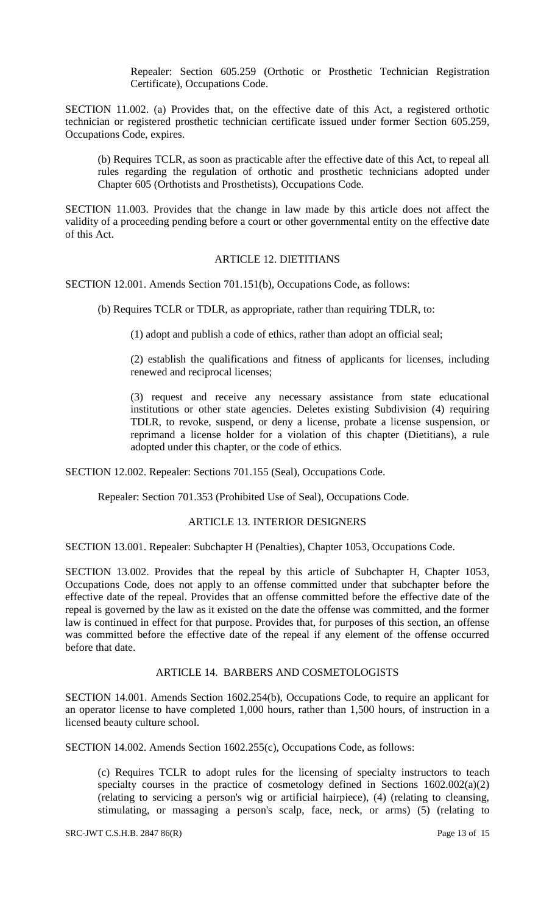Repealer: Section 605.259 (Orthotic or Prosthetic Technician Registration Certificate), Occupations Code.

SECTION 11.002. (a) Provides that, on the effective date of this Act, a registered orthotic technician or registered prosthetic technician certificate issued under former Section 605.259, Occupations Code, expires.

(b) Requires TCLR, as soon as practicable after the effective date of this Act, to repeal all rules regarding the regulation of orthotic and prosthetic technicians adopted under Chapter 605 (Orthotists and Prosthetists), Occupations Code.

SECTION 11.003. Provides that the change in law made by this article does not affect the validity of a proceeding pending before a court or other governmental entity on the effective date of this Act.

#### ARTICLE 12. DIETITIANS

SECTION 12.001. Amends Section 701.151(b), Occupations Code, as follows:

(b) Requires TCLR or TDLR, as appropriate, rather than requiring TDLR, to:

(1) adopt and publish a code of ethics, rather than adopt an official seal;

(2) establish the qualifications and fitness of applicants for licenses, including renewed and reciprocal licenses;

(3) request and receive any necessary assistance from state educational institutions or other state agencies. Deletes existing Subdivision (4) requiring TDLR, to revoke, suspend, or deny a license, probate a license suspension, or reprimand a license holder for a violation of this chapter (Dietitians), a rule adopted under this chapter, or the code of ethics.

SECTION 12.002. Repealer: Sections 701.155 (Seal), Occupations Code.

Repealer: Section 701.353 (Prohibited Use of Seal), Occupations Code.

# ARTICLE 13. INTERIOR DESIGNERS

SECTION 13.001. Repealer: Subchapter H (Penalties), Chapter 1053, Occupations Code.

SECTION 13.002. Provides that the repeal by this article of Subchapter H, Chapter 1053, Occupations Code, does not apply to an offense committed under that subchapter before the effective date of the repeal. Provides that an offense committed before the effective date of the repeal is governed by the law as it existed on the date the offense was committed, and the former law is continued in effect for that purpose. Provides that, for purposes of this section, an offense was committed before the effective date of the repeal if any element of the offense occurred before that date.

#### ARTICLE 14. BARBERS AND COSMETOLOGISTS

SECTION 14.001. Amends Section 1602.254(b), Occupations Code, to require an applicant for an operator license to have completed 1,000 hours, rather than 1,500 hours, of instruction in a licensed beauty culture school.

SECTION 14.002. Amends Section 1602.255(c), Occupations Code, as follows:

(c) Requires TCLR to adopt rules for the licensing of specialty instructors to teach specialty courses in the practice of cosmetology defined in Sections  $1602.002(a)(2)$ (relating to servicing a person's wig or artificial hairpiece), (4) (relating to cleansing, stimulating, or massaging a person's scalp, face, neck, or arms) (5) (relating to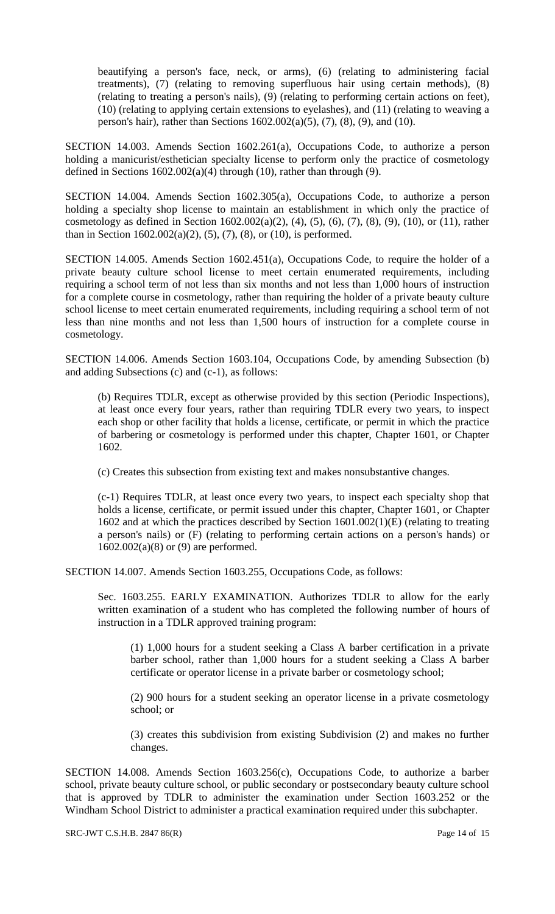beautifying a person's face, neck, or arms), (6) (relating to administering facial treatments), (7) (relating to removing superfluous hair using certain methods), (8) (relating to treating a person's nails), (9) (relating to performing certain actions on feet), (10) (relating to applying certain extensions to eyelashes), and (11) (relating to weaving a person's hair), rather than Sections 1602.002(a)(5), (7), (8), (9), and (10).

SECTION 14.003. Amends Section 1602.261(a), Occupations Code, to authorize a person holding a manicurist/esthetician specialty license to perform only the practice of cosmetology defined in Sections  $1602.002(a)(4)$  through (10), rather than through (9).

SECTION 14.004. Amends Section 1602.305(a), Occupations Code, to authorize a person holding a specialty shop license to maintain an establishment in which only the practice of cosmetology as defined in Section  $1602.002(a)(2)$ ,  $(4)$ ,  $(5)$ ,  $(6)$ ,  $(7)$ ,  $(8)$ ,  $(9)$ ,  $(10)$ , or  $(11)$ , rather than in Section  $1602.002(a)(2)$ ,  $(5)$ ,  $(7)$ ,  $(8)$ , or  $(10)$ , is performed.

SECTION 14.005. Amends Section 1602.451(a), Occupations Code, to require the holder of a private beauty culture school license to meet certain enumerated requirements, including requiring a school term of not less than six months and not less than 1,000 hours of instruction for a complete course in cosmetology, rather than requiring the holder of a private beauty culture school license to meet certain enumerated requirements, including requiring a school term of not less than nine months and not less than 1,500 hours of instruction for a complete course in cosmetology.

SECTION 14.006. Amends Section 1603.104, Occupations Code, by amending Subsection (b) and adding Subsections (c) and (c-1), as follows:

(b) Requires TDLR, except as otherwise provided by this section (Periodic Inspections), at least once every four years, rather than requiring TDLR every two years, to inspect each shop or other facility that holds a license, certificate, or permit in which the practice of barbering or cosmetology is performed under this chapter, Chapter 1601, or Chapter 1602.

(c) Creates this subsection from existing text and makes nonsubstantive changes.

(c-1) Requires TDLR, at least once every two years, to inspect each specialty shop that holds a license, certificate, or permit issued under this chapter, Chapter 1601, or Chapter 1602 and at which the practices described by Section 1601.002(1)(E) (relating to treating a person's nails) or (F) (relating to performing certain actions on a person's hands) or 1602.002(a)(8) or (9) are performed.

SECTION 14.007. Amends Section 1603.255, Occupations Code, as follows:

Sec. 1603.255. EARLY EXAMINATION. Authorizes TDLR to allow for the early written examination of a student who has completed the following number of hours of instruction in a TDLR approved training program:

(1) 1,000 hours for a student seeking a Class A barber certification in a private barber school, rather than 1,000 hours for a student seeking a Class A barber certificate or operator license in a private barber or cosmetology school;

(2) 900 hours for a student seeking an operator license in a private cosmetology school; or

(3) creates this subdivision from existing Subdivision (2) and makes no further changes.

SECTION 14.008. Amends Section 1603.256(c), Occupations Code, to authorize a barber school, private beauty culture school, or public secondary or postsecondary beauty culture school that is approved by TDLR to administer the examination under Section 1603.252 or the Windham School District to administer a practical examination required under this subchapter.